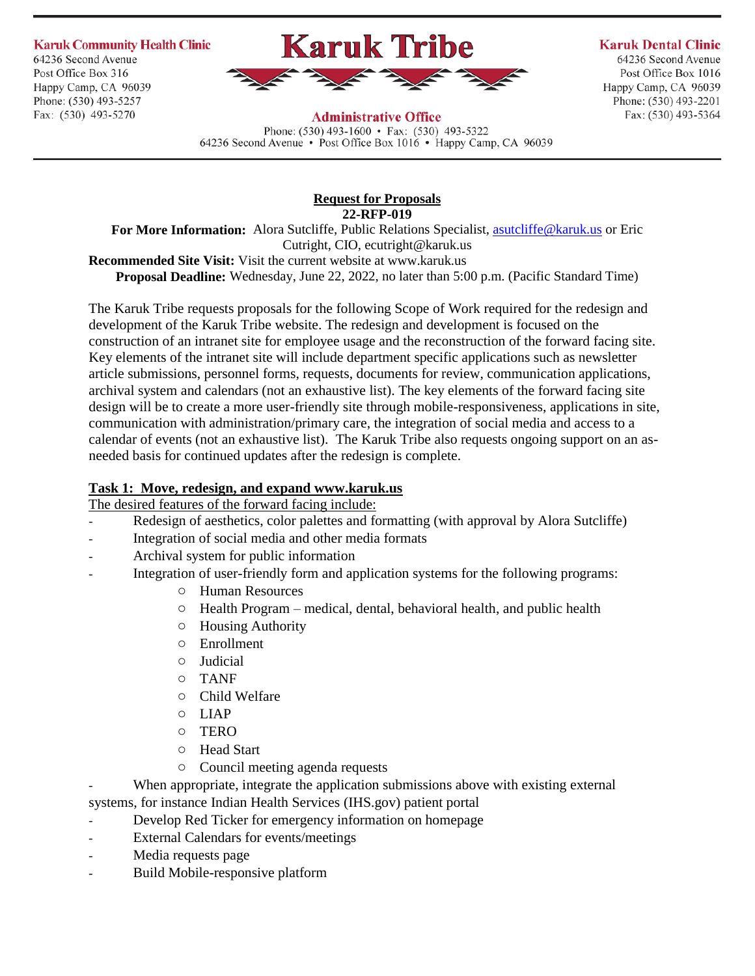**Karuk Community Health Clinic** 

64236 Second Avenue Post Office Box 316 Happy Camp, CA 96039 Phone: (530) 493-5257 Fax: (530) 493-5270



#### **Karuk Dental Clinic**

64236 Second Avenue Post Office Box 1016 Happy Camp, CA 96039 Phone: (530) 493-2201 Fax: (530) 493-5364

## **Administrative Office**

Phone:  $(530)$  493-1600 • Fax:  $(530)$  493-5322 64236 Second Avenue • Post Office Box 1016 • Happy Camp, CA 96039

## **Request for Proposals 22-RFP-019**

For More Information: Alora Sutcliffe, Public Relations Specialist, *asutcliffe@karuk.us* or Eric Cutright, CIO, ecutright@karuk.us **Recommended Site Visit:** Visit the current website at www.karuk.us **Proposal Deadline:** Wednesday, June 22, 2022, no later than 5:00 p.m. (Pacific Standard Time)

The Karuk Tribe requests proposals for the following Scope of Work required for the redesign and development of the Karuk Tribe website. The redesign and development is focused on the construction of an intranet site for employee usage and the reconstruction of the forward facing site. Key elements of the intranet site will include department specific applications such as newsletter article submissions, personnel forms, requests, documents for review, communication applications, archival system and calendars (not an exhaustive list). The key elements of the forward facing site design will be to create a more user-friendly site through mobile-responsiveness, applications in site, communication with administration/primary care, the integration of social media and access to a calendar of events (not an exhaustive list). The Karuk Tribe also requests ongoing support on an asneeded basis for continued updates after the redesign is complete.

## **Task 1: Move, redesign, and expand www.karuk.us**

The desired features of the forward facing include:

- Redesign of aesthetics, color palettes and formatting (with approval by Alora Sutcliffe)
- Integration of social media and other media formats
- Archival system for public information
- Integration of user-friendly form and application systems for the following programs:
	- o Human Resources
	- o Health Program medical, dental, behavioral health, and public health
	- o Housing Authority
	- o Enrollment
	- o Judicial
	- o TANF
	- o Child Welfare
	- o LIAP
	- o TERO
	- o Head Start
	- o Council meeting agenda requests
- When appropriate, integrate the application submissions above with existing external systems, for instance Indian Health Services (IHS.gov) patient portal
- Develop Red Ticker for emergency information on homepage
- External Calendars for events/meetings
- Media requests page
- Build Mobile-responsive platform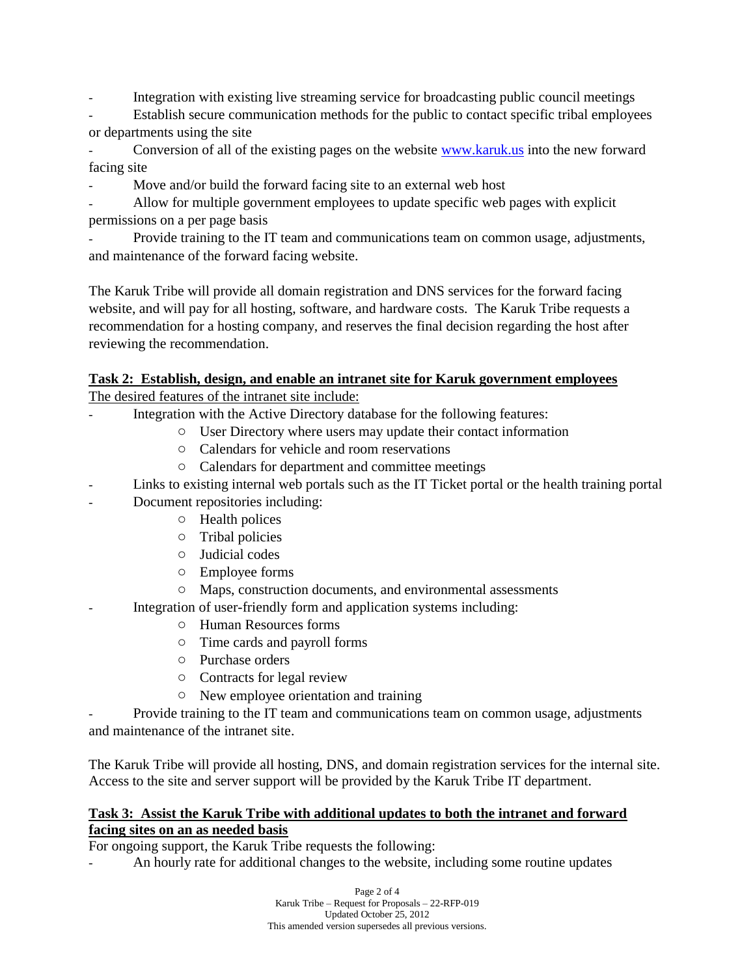Integration with existing live streaming service for broadcasting public council meetings

Establish secure communication methods for the public to contact specific tribal employees or departments using the site

- Conversion of all of the existing pages on the website [www.karuk.us](http://www.karuk.us/) into the new forward facing site

Move and/or build the forward facing site to an external web host

- Allow for multiple government employees to update specific web pages with explicit permissions on a per page basis

Provide training to the IT team and communications team on common usage, adjustments, and maintenance of the forward facing website.

The Karuk Tribe will provide all domain registration and DNS services for the forward facing website, and will pay for all hosting, software, and hardware costs. The Karuk Tribe requests a recommendation for a hosting company, and reserves the final decision regarding the host after reviewing the recommendation.

# **Task 2: Establish, design, and enable an intranet site for Karuk government employees**

The desired features of the intranet site include:

- Integration with the Active Directory database for the following features:
	- o User Directory where users may update their contact information
	- o Calendars for vehicle and room reservations
	- o Calendars for department and committee meetings
- Links to existing internal web portals such as the IT Ticket portal or the health training portal
- Document repositories including:
	- o Health polices
	- o Tribal policies
	- o Judicial codes
	- o Employee forms
	- o Maps, construction documents, and environmental assessments
	- Integration of user-friendly form and application systems including:
		- o Human Resources forms
		- o Time cards and payroll forms
		- o Purchase orders
		- o Contracts for legal review
		- o New employee orientation and training

- Provide training to the IT team and communications team on common usage, adjustments and maintenance of the intranet site.

The Karuk Tribe will provide all hosting, DNS, and domain registration services for the internal site. Access to the site and server support will be provided by the Karuk Tribe IT department.

## **Task 3: Assist the Karuk Tribe with additional updates to both the intranet and forward facing sites on an as needed basis**

For ongoing support, the Karuk Tribe requests the following:

- An hourly rate for additional changes to the website, including some routine updates

Page 2 of 4 Karuk Tribe – Request for Proposals – 22-RFP-019 Updated October 25, 2012 This amended version supersedes all previous versions.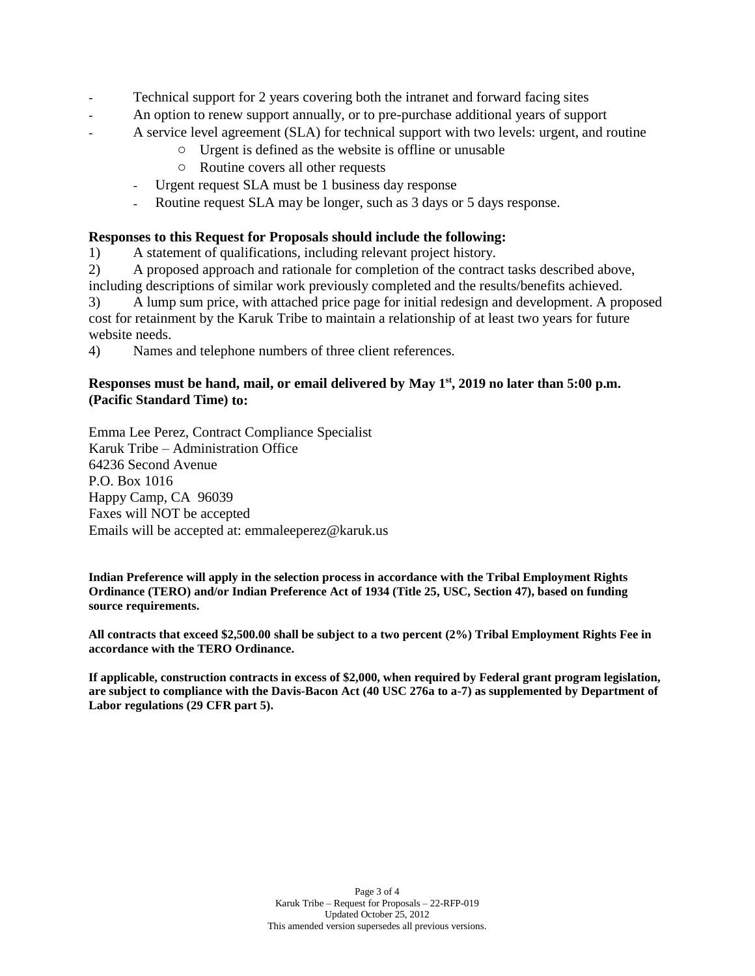- Technical support for 2 years covering both the intranet and forward facing sites
- An option to renew support annually, or to pre-purchase additional years of support
- A service level agreement (SLA) for technical support with two levels: urgent, and routine
	- o Urgent is defined as the website is offline or unusable
	- o Routine covers all other requests
	- Urgent request SLA must be 1 business day response
	- Routine request SLA may be longer, such as 3 days or 5 days response.

### **Responses to this Request for Proposals should include the following:**

1) A statement of qualifications, including relevant project history.

2) A proposed approach and rationale for completion of the contract tasks described above, including descriptions of similar work previously completed and the results/benefits achieved.

3) A lump sum price, with attached price page for initial redesign and development. A proposed cost for retainment by the Karuk Tribe to maintain a relationship of at least two years for future website needs.

4) Names and telephone numbers of three client references.

### **Responses must be hand, mail, or email delivered by May 1st, 2019 no later than 5:00 p.m. (Pacific Standard Time) to:**

Emma Lee Perez, Contract Compliance Specialist Karuk Tribe – Administration Office 64236 Second Avenue P.O. Box 1016 Happy Camp, CA 96039 Faxes will NOT be accepted Emails will be accepted at: emmaleeperez@karuk.us

**Indian Preference will apply in the selection process in accordance with the Tribal Employment Rights Ordinance (TERO) and/or Indian Preference Act of 1934 (Title 25, USC, Section 47), based on funding source requirements.**

**All contracts that exceed \$2,500.00 shall be subject to a two percent (2%) Tribal Employment Rights Fee in accordance with the TERO Ordinance.**

**If applicable, construction contracts in excess of \$2,000, when required by Federal grant program legislation, are subject to compliance with the Davis-Bacon Act (40 USC 276a to a-7) as supplemented by Department of Labor regulations (29 CFR part 5).**